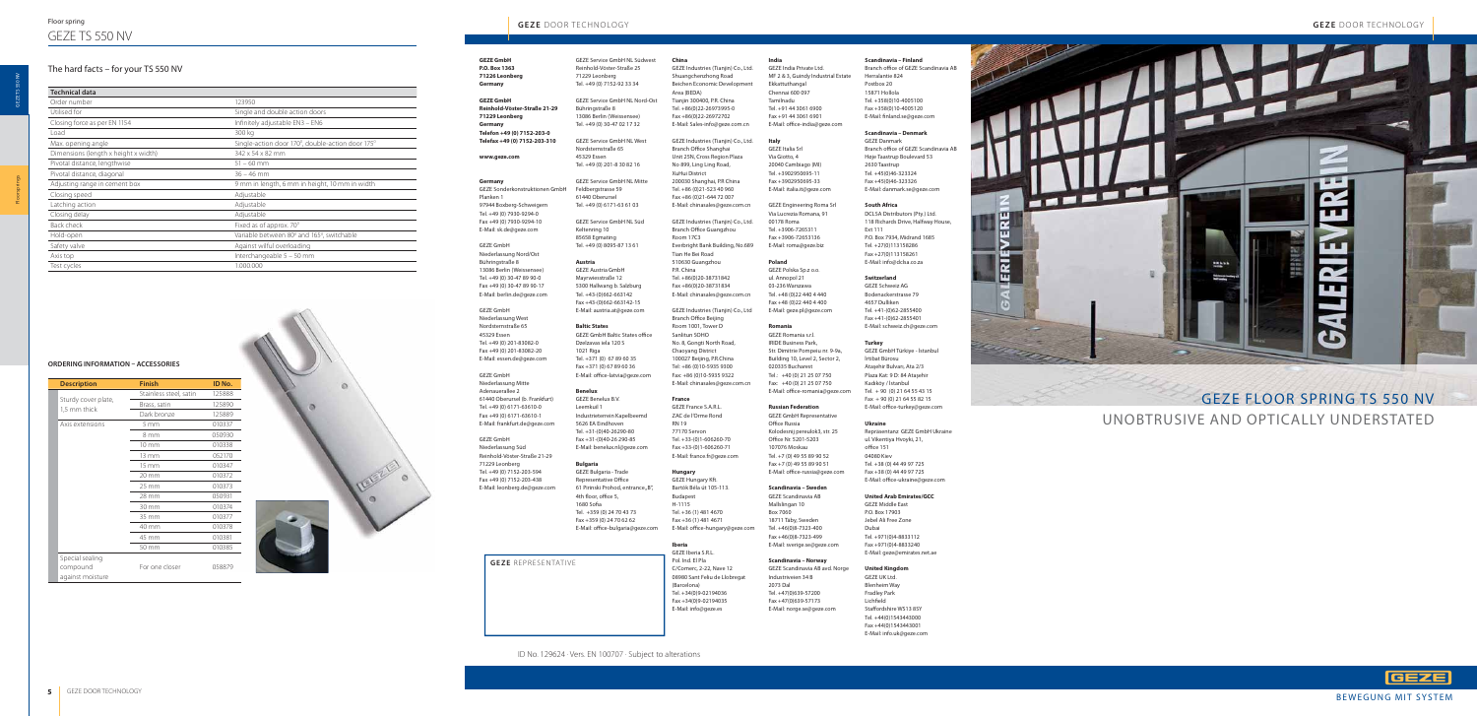**GEZE GmbH P.O. Box 1363 71226 Leonberg Germany** 

**GEZE GmbH Reinhold-Vöster-Straße 21-29 71229 Leonberg Germany Telefon +49 (0) 7152-203-0 Telefax +49 (0) 7152-203-310**

#### **www.geze.com**

#### **Germany**

GEZE Sonderkonstruktionen GmbH Planken 1 97944 Boxberg-Schweigern Tel. +49 (0) 7930-9294-0 Fax +49 (0) 7930-9294-10 E-Mail: sk.de@geze.com

GEZE GmbH Niederlassung Nord/Ost Bühringstraße 8 13086 Berlin (Weissensee) Tel. +49 (0) 30-47 89 90-0 Fax +49 (0) 30-47 89 90-17 E-Mail: berlin.de@geze.com

GEZE GmbH Niederlassung West Nordsternstraße 65 45329 Essen Tel. +49 (0) 201-83082-0 Fax +49 (0) 201-83082-20 E-Mail: essen.de@geze.com

GEZE GmbH Niederlassung Mitte Adenauerallee 2 61440 Oberursel (b. Frankfurt) Tel. +49 (0) 6171-63610-0 Fax +49 (0) 6171-63610-1 E-Mail: frankfurt.de@geze.com

**Baltic States GEZE GmbH Baltic States office** Dzelzavas iela 120 S 1021 Riga Tel. +371 (0) 67 89 60 35 Fax +371 (0) 67 89 60 36 E-Mail: office-latvia@geze.com

GEZE GmbH Niederlassung Süd Reinhold-Vöster-Straße 21-29 71229 Leonberg Tel. +49 (0) 7152-203-594 Fax +49 (0) 7152-203-438 E-Mail: leonberg.de@geze.com

GEZE Bulgaria - Trade Representative Office 61 Pirinski Prohod, entrance "B", 4th floor, office 5,  $1680$  Sofia Tel. +359 (0) 24 70 43 73 Fax +359 (0) 24 70 62 62 E-Mail: office-bulgaria@geze.com

GEZE Service GmbH NL Südwest Reinhold-Vöster-Straße 25 71229 Leonberg Tel. +49 (0) 7152-92 33 34

#### **India** GEZE India Private Ltd. MF 2 & 3, Guindy Industrial Estate Ekkattuthangal Chennai 600 097 Tamilnadu Tel. +91 44 3061 6900 Fax +91 44 3061 6901 E-Mail: office-india@geze.com

GEZE Service GmbH NL Nord-Ost Bühringstraße 8

13086 Berlin (Weissensee) Tel. +49 (0) 30-47 02 17 32

GEZE Service GmbH NL West Nordsternstraße 65 45329 Essen Tel. +49 (0) 201-8 30 82 16

GEZE Service GmbH NL Mitte Feldbergstrasse 59 61440 Oberursel Tel. +49 (0) 6171-63 61 03

> GEZE Romania s.r.l. IRIDE Business Park, Str. Dimitrie Pompeiu nr. 9-9a, Building 10, Level 2, Sector 2, 020335 Bucharest Tel.: +40 (0) 21 25 07 750 Fax: +40 (0) 21 25 07 750 E-Mail: office-romania@geze.com

GEZE Service GmbH NL Süd Keltenring 10 85658 Egmating Tel. +49 (0) 8095-87 13 61

> GEZE GmbH Representative Office Russia Kolodesnij pereulok3, str. 25 Office Nr. 5201-5203 107076 Moskau Tel. +7 (0) 49 55 89 90 52 Fax +7 (0) 49 55 89 90 51 E-Mail: office-russia@geze.com

**Austria** GEZE Austria GmbH Mayrwiesstraße 12 5300 Hallwang b. Salzburg Tel. +43-(0)662-663142 Fax +43-(0)662-663142-15

E-Mail: austria.at@geze.com

#### **Scandinavia – Finland** Branch office of GEZE Scandinavia AB

Herralantie 824 Postbox 20 15871 Hollola Tel. +358(0)10-4005100 Fax +358(0)10-4005120 E-Mail: finland.se@geze.com

**Benelux**

GEZE Benelux B.V. Leemkuil 1 Industrieterrein Kapelbeemd 5626 EA Eindhoven Tel. +31-(0)40-26290-80 Fax +31-(0)40-26 290-85 E-Mail: benelux.nl@geze.com

### **Bulgaria**

DCLSA Distributors (Pty.) Ltd. 118 Richards Drive, Halfway House, Ext 111 P.O. Box 7934, Midrand 1685 Tel. +27(0)113158286 Fax +27(0)113158261 E-Mail: info@dclsa.co.za

GEZE GmbH Türkiye - İstanbul İrtibat Bürosu Ataşehir Bulvarı, Ata 2/3 Plaza Kat: 9 D: 84 Ataşehir Kadıköy / İstanbul Tel. + 90 (0) 21 64 55 43 15  $Fax + 90(0)$  21 64 55 82 15 E-Mail: office-turkey@geze.com

Repräsentanz GEZE GmbH Ukraine ul. Vikentiya Hvoyki, 21, office 151 04080 Kiev Tel. +38 (0) 44 49 97 725 Fax +38 (0) 44 49 97 725 E-Mail: office-ukraine@geze.com

### **Italy**

GEZE Italia Srl Via Giotto, 4 20040 Cambiago (MI) Tel. +3902950695-11 Fax +3902950695-33 E-Mail: italia.it@geze.com

GEZE Engineering Roma Srl Via Lucrezia Romana, 91 00178 Roma Tel. +3906-7265311 Fax +3906-72653136 E-Mail: roma@geze.biz

#### **Poland**

GEZE Polska Sp.z o.o. ul. Annopol 21 03-236 Warszawa Tel. +48 (0)22 440 4 440 Fax +48 (0)22 440 4 400 E-Mail: geze.pl@geze.com

#### **Romania**

# **Russian Federation**

GEZE Hungary Kft. Bartók Béla út 105-113. Budapest H-1115 Tel. +36 (1) 481 4670 Fax +36 (1) 481 4671 E-Mail: office-hungary@geze.com

#### **Scandinavia – Sweden**

GEZE Scandinavia AB Mallslingan 10 Box 7060 18711 Täby, Sweden Tel. +46(0)8-7323-400 Fax +46(0)8-7323-499 E-Mail: sverige.se@geze.com

#### **Scandinavia – Norway**

GEZE Scandinavia AB avd. Norge Industriveien 34 B 2073 Dal Tel. +47(0)639-57200 Fax +47(0)639-57173 E-Mail: norge.se@geze.com

### **Scandinavia – Denmark**

GEZE Danmark Branch office of GEZE Scandinavia AB Høje Taastrup Boulevard 53 2630 Taastrup Tel. +45(0)46-323324 Fax +45(0)46-323326 E-Mail: danmark.se@geze.com

#### **South Africa**

#### **Switzerland**

GEZE Schweiz AG Bodenackerstrasse 79 4657 Dulliken Tel. +41-(0)62-2855400 Fax +41-(0)62-2855401 E-Mail: schweiz.ch@geze.com

#### **Turkey**

#### **Ukraine**

### **United Arab Emirates/GCC**

GEZE Middle East P.O. Box 17903 Jebel Ali Free Zone Dubai Tel. +971(0)4-8833112 Fax +971(0)4-8833240 E-Mail: geze@emirates.net.ae

### **United Kingdom**

GEZE UK Ltd. Blenheim Way Fradley Park Lichfield Staffordshire WS13 8SY Tel. +44(0)1543443000 Fax +44(0)1543443001 E-Mail: info.uk@geze.com



### **China**

GEZE Industries (Tianjin) Co., Ltd. Shuangchenzhong Road Beichen Economic Development Area (BEDA) Tianjin 300400, P.R. China Tel. +86(0)22-26973995-0 Fax +86(0)22-26972702 E-Mail: Sales-info@geze.com.cn

GEZE Industries (Tianjin) Co., Ltd. Branch Office Shanghai Unit 25N, Cross Region Plaza No 899, Ling Ling Road, XuHui District 200030 Shanghai, P.R China Tel. +86 (0)21-523 40 960 Fax +86 (0)21-644 72 007 E-Mail: chinasales@geze.com.cn

GEZE Industries (Tianjin) Co., Ltd. Branch Office Guangzhou Room 17C3 Everbright Bank Building, No.689 Tian He Bei Road 510630 Guangzhou P.R. China Tel. +86(0)20-38731842 Fax +86(0)20-38731834 E-Mail: chinasales@geze.com.cn

GEZE Industries (Tianjin) Co., Ltd Branch Office Beijing Room 1001, Tower D Sanlitun SOHO No. 8, Gongti North Road, Chaoyang District 100027 Beijing, P.R.China Tel: +86 (0)10-5935 9300 Fax: +86 (0)10-5935 9322 E-Mail: chinasales@geze.com.cn

#### **France**

GEZE France S.A.R.L. ZAC de l'Orme Rond RN 19 77170 Servon Tel. +33-(0)1-606260-70 Fax +33-(0)1-606260-71 E-Mail: france.fr@geze.com

#### **Hungary**

### **Iberia**

GEZE Iberia S.R.L. Pol. Ind. El Pla C/Comerc, 2-22, Nave 12 08980 Sant Feliu de Llobregat (Barcelona) Tel. +34(0)9-02194036 Fax +34(0)9-02194035 E-Mail: info@geze.es

| <b>Description</b>                  | <b>Finish</b>          | ID No. |
|-------------------------------------|------------------------|--------|
| Sturdy cover plate,<br>1,5 mm thick | Stainless steel, satin | 125888 |
|                                     | Brass, satin           | 125890 |
|                                     | Dark bronze            | 125889 |
| Axis extensions                     | $5 \, \mathrm{mm}$     | 010337 |
|                                     | 8 mm                   | 050930 |
|                                     | $10 \text{ mm}$        | 010338 |
|                                     | 13 mm                  | 052170 |
|                                     | 15 mm                  | 010347 |
|                                     | 20 mm                  | 010372 |
|                                     | 25 mm                  | 010373 |
|                                     | 28 mm                  | 050931 |
|                                     | 30 mm                  | 010374 |
|                                     | 35 mm                  | 010377 |
|                                     | 40 mm                  | 010378 |
|                                     | 45 mm                  | 010381 |
|                                     | 50 mm                  | 010385 |
| Special sealing                     |                        |        |
| compound                            | For one closer         | 058879 |
| against moisture                    |                        |        |



### **ORDERING INFORMATION – ACCESSORIES**

# GEZE FLOOR SPRING TS 550 NV UNOBTRUSIVE AND OPTICALLY UNDERSTATED

GEZE

# **GEZE** DOOR TECHNOLOGY **GEZE** DOOR TECHNOLOGY

**GEZE** REPRESENTATIVE

ID No. 129624 · Vers. EN 100707 · Subject to alterations

Floor springs

# The hard facts – for your TS 550 NV

**Technical data**

Order number 123950

| Utilised for                         | Single and double action doors                   |  |
|--------------------------------------|--------------------------------------------------|--|
| Closing force as per EN 1154         | Infinitely adjustable EN3 - EN6                  |  |
| Load                                 | 300 kg                                           |  |
| Max. opening angle                   | Single-action door 170°, double-action door 175° |  |
| Dimensions (length x height x width) | $342 \times 54 \times 82$ mm                     |  |
| Pivotal distance, lengthwise         | $51 - 60$ mm                                     |  |
| Pivotal distance, diagonal           | $36 - 46$ mm                                     |  |
| Adjusting range in cement box        | 9 mm in length, 6 mm in height, 10 mm in width   |  |
| Closing speed                        | Adjustable                                       |  |
| Latching action                      | Adjustable                                       |  |
| Closing delay                        | Adjustable                                       |  |
| Back check                           | Fixed as of approx. 70 <sup>°</sup>              |  |
| Hold-open                            | Variable between 80° and 165°, switchable        |  |
| Safety valve                         | Against wilful overloading                       |  |
| Axis top                             | Interchangeable 5 - 50 mm                        |  |
| Test cycles                          | 1.000.000                                        |  |